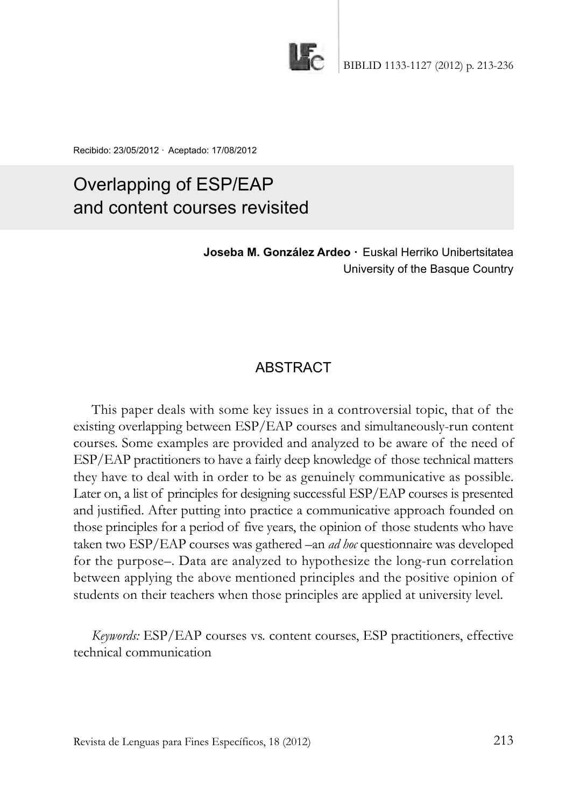

Recibido: 23/05/2012 · Aceptado: 17/08/2012

# Overlapping of ESP/EAP and content courses revisited

**Joseba M. González Ardeo ·** Euskal Herriko Unibertsitatea University of the Basque Country

## **ABSTRACT**

This paper deals with some key issues in a controversial topic, that of the existing overlapping between ESP/EAP courses and simultaneously-run content courses. Some examples are provided and analyzed to be aware of the need of ESP/EAP practitioners to have a fairly deep knowledge of those technical matters they have to deal with in order to be as genuinely communicative as possible. later on, a list of principles for designing successful ESP/EAP courses is presented and justified. After putting into practice a communicative approach founded on those principles for a period of five years, the opinion of those students who have taken two ESP/EAP courses was gathered –an *ad hoc* questionnaire was developed for the purpose-. Data are analyzed to hypothesize the long-run correlation between applying the above mentioned principles and the positive opinion of students on their teachers when those principles are applied at university level.

*Keywords:* ESP/EAP courses vs. content courses, ESP practitioners, effective technical communication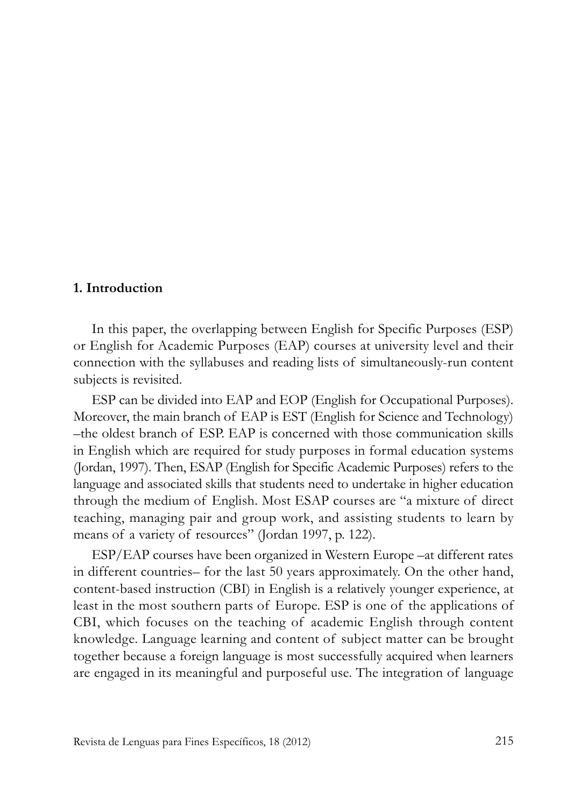#### **1. Introduction**

In this paper, the overlapping between English for Specific Purposes (ESP) or English for Academic Purposes (EAP) courses at university level and their connection with the syllabuses and reading lists of simultaneously-run content subjects is revisited.

ESP can be divided into EAP and EOP (English for Occupational Purposes). Moreover, the main branch of EAP is EST (English for Science and Technology) –the oldest branch of ESP. EAP is concerned with those communication skills in English which are required for study purposes in formal education systems (Jordan, 1997). Then, ESAP (English for Specific Academic Purposes) refers to the language and associated skills that students need to undertake in higher education through the medium of English. Most ESAP courses are "a mixture of direct teaching, managing pair and group work, and assisting students to learn by means of a variety of resources" (Jordan 1997, p. 122).

ESP/EAP courses have been organized in Western Europe –at different rates in different countries– for the last 50 years approximately. On the other hand, content-based instruction (CBi) in English is a relatively younger experience, at least in the most southern parts of Europe. ESP is one of the applications of CBi, which focuses on the teaching of academic English through content knowledge. language learning and content of subject matter can be brought together because a foreign language is most successfully acquired when learners are engaged in its meaningful and purposeful use. The integration of language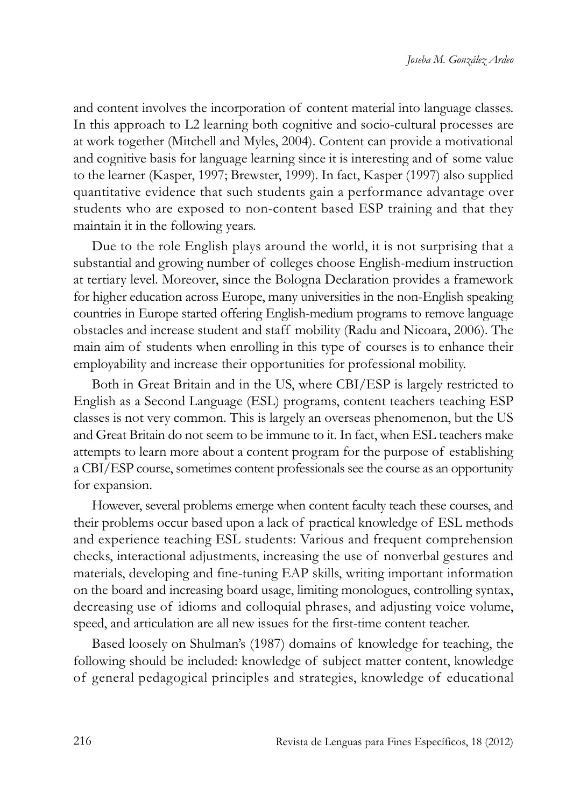and content involves the incorporation of content material into language classes. In this approach to L2 learning both cognitive and socio-cultural processes are at work together (Mitchell and Myles, 2004). Content can provide a motivational and cognitive basis for language learning since it is interesting and of some value to the learner (Kasper, 1997; Brewster, 1999). in fact, Kasper (1997) also supplied quantitative evidence that such students gain a performance advantage over students who are exposed to non-content based ESP training and that they maintain it in the following years.

Due to the role English plays around the world, it is not surprising that a substantial and growing number of colleges choose English-medium instruction at tertiary level. Moreover, since the Bologna Declaration provides a framework for higher education across Europe, many universities in the non-English speaking countries in Europe started offering English-medium programs to remove language obstacles and increase student and staff mobility (Radu and Nicoara, 2006). The main aim of students when enrolling in this type of courses is to enhance their employability and increase their opportunities for professional mobility.

Both in Great Britain and in the US, where CBi/ESP is largely restricted to English as a Second language (ESl) programs, content teachers teaching ESP classes is not very common. This is largely an overseas phenomenon, but the US and Great Britain do not seem to be immune to it. in fact, when ESl teachers make attempts to learn more about a content program for the purpose of establishing a CBi/ESP course, sometimes content professionals see the course as an opportunity for expansion.

However, several problems emerge when content faculty teach these courses, and their problems occur based upon a lack of practical knowledge of ESl methods and experience teaching ESl students: Various and frequent comprehension checks, interactional adjustments, increasing the use of nonverbal gestures and materials, developing and fine-tuning EAP skills, writing important information on the board and increasing board usage, limiting monologues, controlling syntax, decreasing use of idioms and colloquial phrases, and adjusting voice volume, speed, and articulation are all new issues for the first-time content teacher.

Based loosely on Shulman's (1987) domains of knowledge for teaching, the following should be included: knowledge of subject matter content, knowledge of general pedagogical principles and strategies, knowledge of educational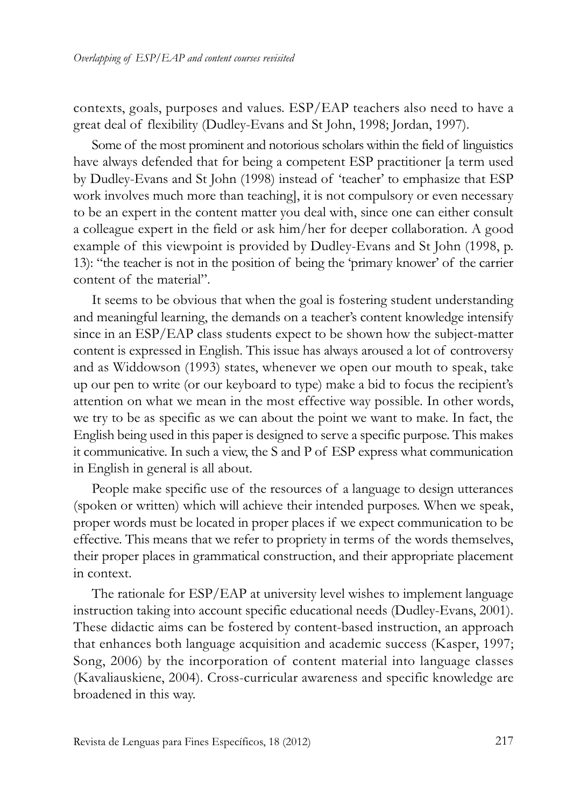contexts, goals, purposes and values. ESP/EAP teachers also need to have a great deal of flexibility (Dudley-Evans and St John, 1998; Jordan, 1997).

Some of the most prominent and notorious scholars within the field of linguistics have always defended that for being a competent ESP practitioner [a term used by Dudley-Evans and St John (1998) instead of 'teacher' to emphasize that ESP work involves much more than teaching], it is not compulsory or even necessary to be an expert in the content matter you deal with, since one can either consult a colleague expert in the field or ask him/her for deeper collaboration. A good example of this viewpoint is provided by Dudley-Evans and St John (1998, p. 13): "the teacher is not in the position of being the 'primary knower' of the carrier content of the material".

It seems to be obvious that when the goal is fostering student understanding and meaningful learning, the demands on a teacher's content knowledge intensify since in an ESP/EAP class students expect to be shown how the subject-matter content is expressed in English. This issue has always aroused a lot of controversy and as Widdowson (1993) states, whenever we open our mouth to speak, take up our pen to write (or our keyboard to type) make a bid to focus the recipient's attention on what we mean in the most effective way possible. In other words, we try to be as specific as we can about the point we want to make. In fact, the English being used in this paper is designed to serve a specific purpose. This makes it communicative. In such a view, the S and P of ESP express what communication in English in general is all about.

People make specific use of the resources of a language to design utterances (spoken or written) which will achieve their intended purposes. When we speak, proper words must be located in proper places if we expect communication to be effective. This means that we refer to propriety in terms of the words themselves, their proper places in grammatical construction, and their appropriate placement in context.

The rationale for ESP/EAP at university level wishes to implement language instruction taking into account specific educational needs (Dudley-Evans, 2001). These didactic aims can be fostered by content-based instruction, an approach that enhances both language acquisition and academic success (Kasper, 1997; Song, 2006) by the incorporation of content material into language classes (Kavaliauskiene, 2004). Cross-curricular awareness and specific knowledge are broadened in this way.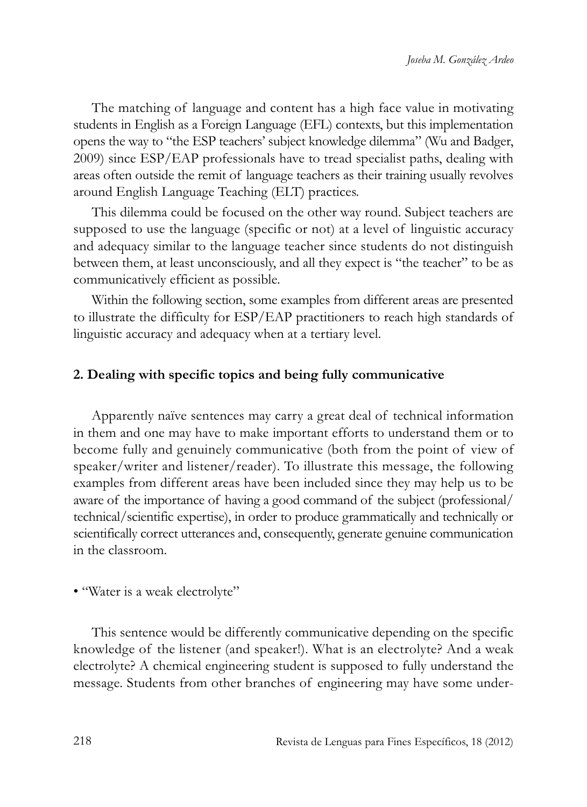The matching of language and content has a high face value in motivating students in English as a Foreign language (EFl) contexts, but this implementation opens the way to "the ESP teachers' subject knowledge dilemma" (Wu and Badger, 2009) since ESP/EAP professionals have to tread specialist paths, dealing with areas often outside the remit of language teachers as their training usually revolves around English language Teaching (ElT) practices.

This dilemma could be focused on the other way round. Subject teachers are supposed to use the language (specific or not) at a level of linguistic accuracy and adequacy similar to the language teacher since students do not distinguish between them, at least unconsciously, and all they expect is "the teacher" to be as communicatively efficient as possible.

Within the following section, some examples from different areas are presented to illustrate the difficulty for ESP/EAP practitioners to reach high standards of linguistic accuracy and adequacy when at a tertiary level.

## **2. Dealing with specific topics and being fully communicative**

Apparently naïve sentences may carry a great deal of technical information in them and one may have to make important efforts to understand them or to become fully and genuinely communicative (both from the point of view of speaker/writer and listener/reader). To illustrate this message, the following examples from different areas have been included since they may help us to be aware of the importance of having a good command of the subject (professional/ technical/scientific expertise), in order to produce grammatically and technically or scientifically correct utterances and, consequently, generate genuine communication in the classroom.

#### • "Water is a weak electrolyte"

This sentence would be differently communicative depending on the specific knowledge of the listener (and speaker!). What is an electrolyte? And a weak electrolyte? A chemical engineering student is supposed to fully understand the message. Students from other branches of engineering may have some under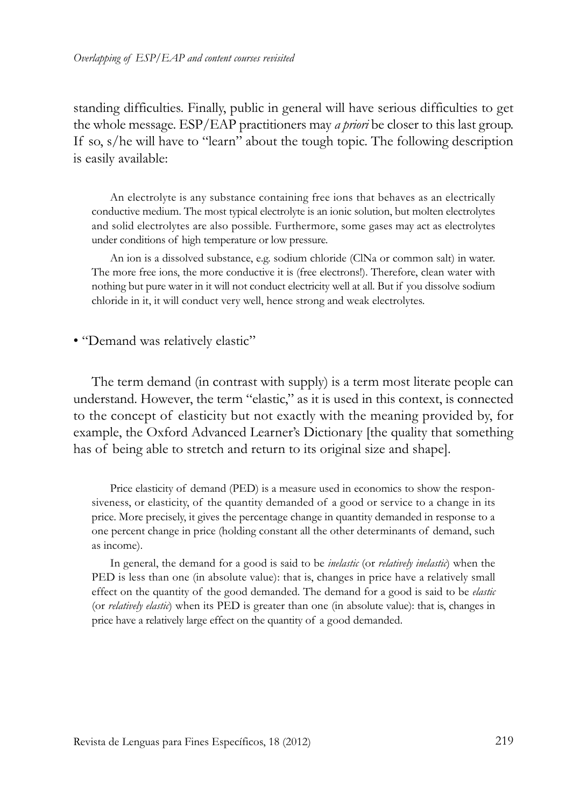standing difficulties. Finally, public in general will have serious difficulties to get the whole message. ESP/EAP practitioners may *a priori* be closer to this last group. If so, s/he will have to "learn" about the tough topic. The following description is easily available:

An electrolyte is any substance containing free ions that behaves as an electrically conductive medium. The most typical electrolyte is an ionic solution, but molten electrolytes and solid electrolytes are also possible. Furthermore, some gases may act as electrolytes under conditions of high temperature or low pressure.

An ion is a dissolved substance, e.g. sodium chloride (ClNa or common salt) in water. The more free ions, the more conductive it is (free electrons!). Therefore, clean water with nothing but pure water in it will not conduct electricity well at all. But if you dissolve sodium chloride in it, it will conduct very well, hence strong and weak electrolytes.

• "Demand was relatively elastic"

The term demand (in contrast with supply) is a term most literate people can understand. However, the term "elastic," as it is used in this context, is connected to the concept of elasticity but not exactly with the meaning provided by, for example, the Oxford Advanced Learner's Dictionary [the quality that something has of being able to stretch and return to its original size and shape].

Price elasticity of demand (PED) is a measure used in economics to show the responsiveness, or elasticity, of the quantity demanded of a good or service to a change in its price. More precisely, it gives the percentage change in quantity demanded in response to a one percent change in price (holding constant all the other determinants of demand, such as income).

in general, the demand for a good is said to be *inelastic* (or *relatively inelastic*) when the PED is less than one (in absolute value): that is, changes in price have a relatively small effect on the quantity of the good demanded. The demand for a good is said to be *elastic* (or *relatively elastic*) when its PED is greater than one (in absolute value): that is, changes in price have a relatively large effect on the quantity of a good demanded.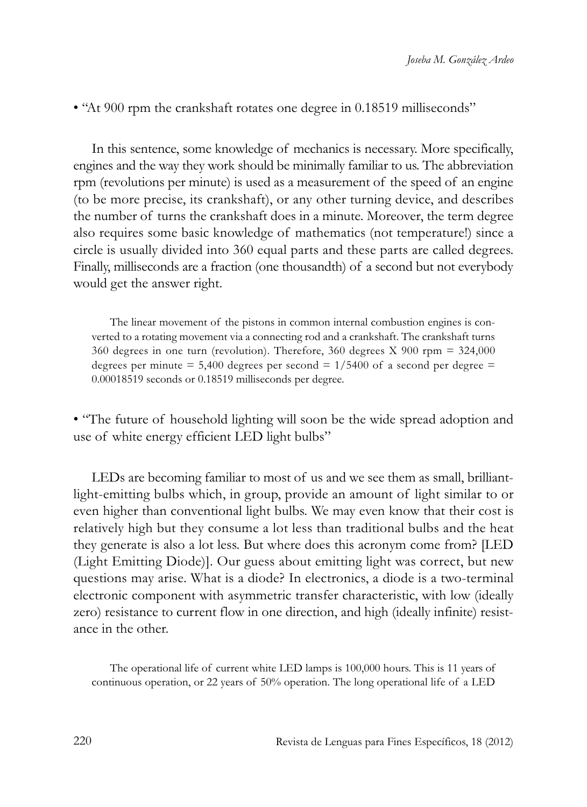• "At 900 rpm the crankshaft rotates one degree in 0.18519 milliseconds"

In this sentence, some knowledge of mechanics is necessary. More specifically, engines and the way they work should be minimally familiar to us. The abbreviation rpm (revolutions per minute) is used as a measurement of the speed of an engine (to be more precise, its crankshaft), or any other turning device, and describes the number of turns the crankshaft does in a minute. Moreover, the term degree also requires some basic knowledge of mathematics (not temperature!) since a circle is usually divided into 360 equal parts and these parts are called degrees. Finally, milliseconds are a fraction (one thousandth) of a second but not everybody would get the answer right.

The linear movement of the pistons in common internal combustion engines is converted to a rotating movement via a connecting rod and a crankshaft. The crankshaft turns 360 degrees in one turn (revolution). Therefore, 360 degrees X 900 rpm = 324,000 degrees per minute = 5,400 degrees per second =  $1/5400$  of a second per degree = 0.00018519 seconds or 0.18519 milliseconds per degree.

• "The future of household lighting will soon be the wide spread adoption and use of white energy efficient LED light bulbs"

LEDs are becoming familiar to most of us and we see them as small, brilliantlight-emitting bulbs which, in group, provide an amount of light similar to or even higher than conventional light bulbs. We may even know that their cost is relatively high but they consume a lot less than traditional bulbs and the heat they generate is also a lot less. But where does this acronym come from? [LED (Light Emitting Diode)]. Our guess about emitting light was correct, but new questions may arise. What is a diode? In electronics, a diode is a two-terminal electronic component with asymmetric transfer characteristic, with low (ideally zero) resistance to current flow in one direction, and high (ideally infinite) resistance in the other.

The operational life of current white LED lamps is 100,000 hours. This is 11 years of continuous operation, or 22 years of 50% operation. The long operational life of a LED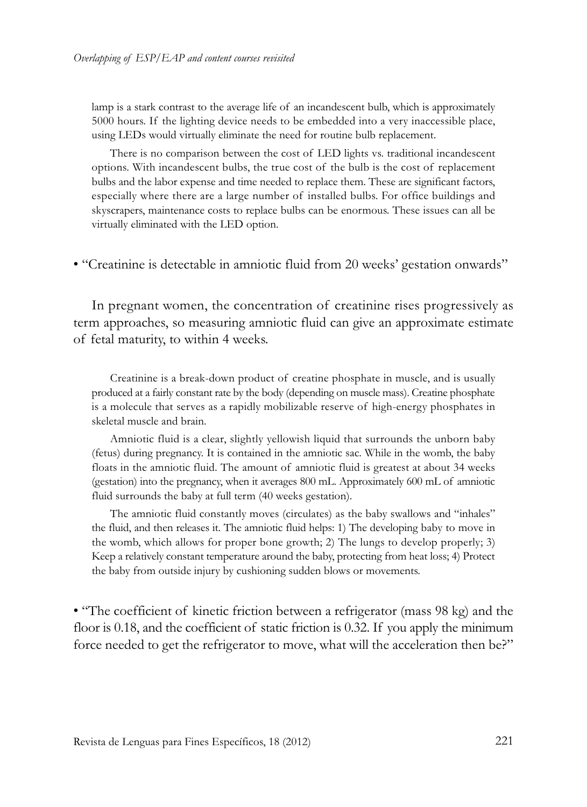lamp is a stark contrast to the average life of an incandescent bulb, which is approximately 5000 hours. if the lighting device needs to be embedded into a very inaccessible place, using LEDs would virtually eliminate the need for routine bulb replacement.

There is no comparison between the cost of LED lights vs. traditional incandescent options. With incandescent bulbs, the true cost of the bulb is the cost of replacement bulbs and the labor expense and time needed to replace them. These are significant factors, especially where there are a large number of installed bulbs. For office buildings and skyscrapers, maintenance costs to replace bulbs can be enormous. These issues can all be virtually eliminated with the LED option.

• "Creatinine is detectable in amniotic fluid from 20 weeks' gestation onwards"

In pregnant women, the concentration of creatinine rises progressively as term approaches, so measuring amniotic fluid can give an approximate estimate of fetal maturity, to within 4 weeks.

Creatinine is a break-down product of creatine phosphate in muscle, and is usually produced at a fairly constant rate by the body (depending on muscle mass). Creatine phosphate is a molecule that serves as a rapidly mobilizable reserve of high-energy phosphates in skeletal muscle and brain.

Amniotic fluid is a clear, slightly yellowish liquid that surrounds the unborn baby (fetus) during pregnancy. it is contained in the amniotic sac. While in the womb, the baby floats in the amniotic fluid. The amount of amniotic fluid is greatest at about 34 weeks (gestation) into the pregnancy, when it averages 800 ml. Approximately 600 ml of amniotic fluid surrounds the baby at full term (40 weeks gestation).

The amniotic fluid constantly moves (circulates) as the baby swallows and "inhales" the fluid, and then releases it. The amniotic fluid helps: 1) The developing baby to move in the womb, which allows for proper bone growth; 2) The lungs to develop properly; 3) Keep a relatively constant temperature around the baby, protecting from heat loss; 4) Protect the baby from outside injury by cushioning sudden blows or movements.

• "The coefficient of kinetic friction between a refrigerator (mass 98 kg) and the floor is 0.18, and the coefficient of static friction is 0.32. If you apply the minimum force needed to get the refrigerator to move, what will the acceleration then be?"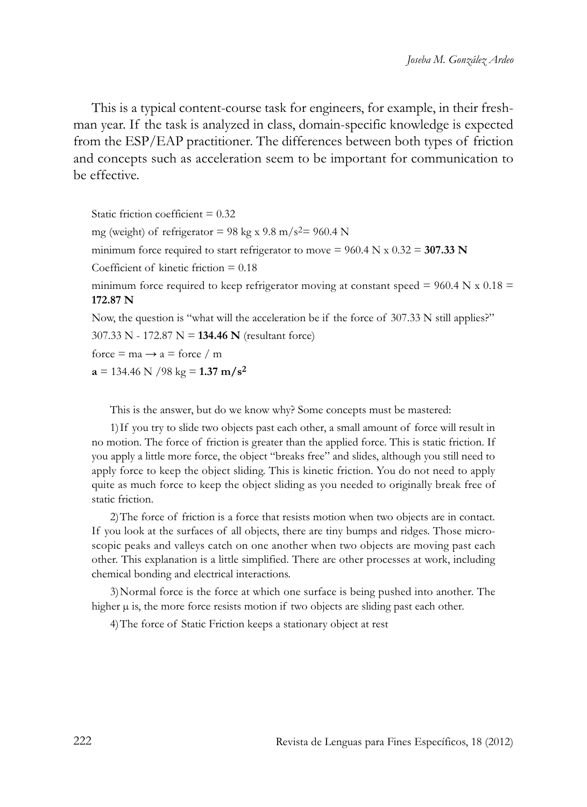This is a typical content-course task for engineers, for example, in their freshman year. if the task is analyzed in class, domain-specific knowledge is expected from the ESP/EAP practitioner. The differences between both types of friction and concepts such as acceleration seem to be important for communication to be effective.

Static friction coefficient  $= 0.32$ mg (weight) of refrigerator = 98 kg x 9.8 m/s<sup>2</sup>= 960.4 N minimum force required to start refrigerator to move  $= 960.4$  N x  $0.32 = 307.33$  N Coefficient of kinetic friction = 0.18 minimum force required to keep refrigerator moving at constant speed =  $960.4$  N x  $0.18$  = **172.87 N** Now, the question is "what will the acceleration be if the force of 307.33 N still applies?" 307.33 N - 172.87 N = **134.46 N** (resultant force) force = ma  $\rightarrow$  a = force / m  $a = 134.46$  N  $/98$  kg = **1.37 m/s<sup>2</sup>** 

This is the answer, but do we know why? Some concepts must be mastered:

1) If you try to slide two objects past each other, a small amount of force will result in no motion. The force of friction is greater than the applied force. This is static friction. if you apply a little more force, the object "breaks free" and slides, although you still need to apply force to keep the object sliding. This is kinetic friction. You do not need to apply quite as much force to keep the object sliding as you needed to originally break free of static friction.

2)The force of friction is a force that resists motion when two objects are in contact. If you look at the surfaces of all objects, there are tiny bumps and ridges. Those microscopic peaks and valleys catch on one another when two objects are moving past each other. This explanation is a little simplified. There are other processes at work, including chemical bonding and electrical interactions.

3)Normal force is the force at which one surface is being pushed into another. The higher  $\mu$  is, the more force resists motion if two objects are sliding past each other.

4)The force of Static Friction keeps a stationary object at rest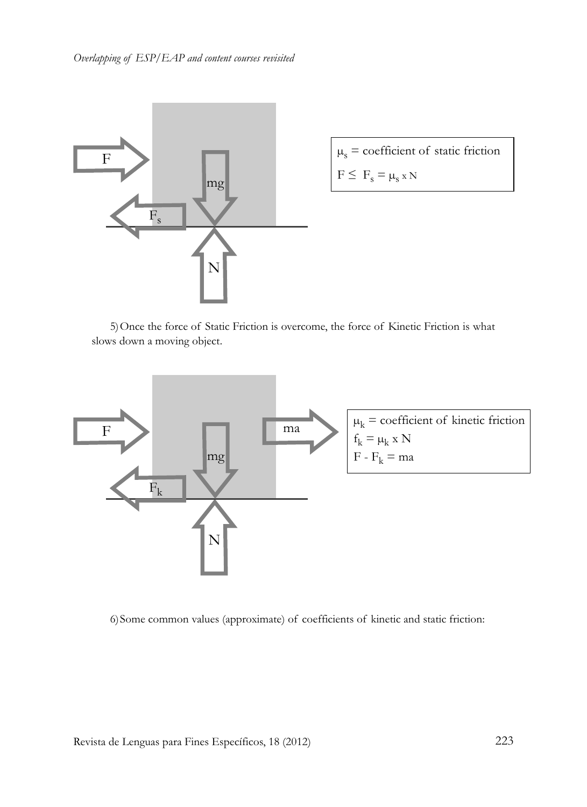

 $\mu_s$  = coefficient of static friction  $F \leq F_s = \mu_s x N$ 

5)Once the force of Static Friction is overcome, the force of Kinetic Friction is what slows down a moving object.



6)Some common values (approximate) of coefficients of kinetic and static friction: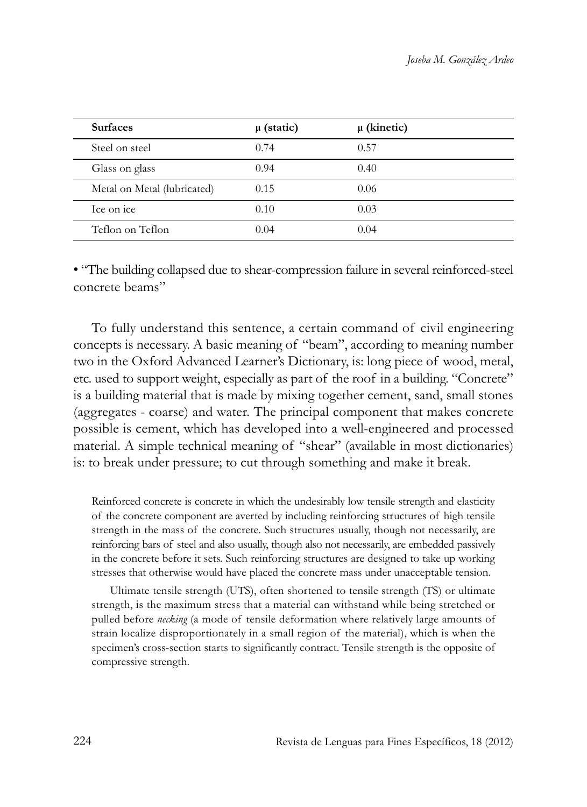| <b>Surfaces</b>             | $\mu$ (static) | $\mu$ (kinetic) |  |
|-----------------------------|----------------|-----------------|--|
| Steel on steel              | 0.74           | 0.57            |  |
| Glass on glass              | 0.94           | 0.40            |  |
| Metal on Metal (lubricated) | 0.15           | 0.06            |  |
| Ice on ice                  | 0.10           | 0.03            |  |
| Teflon on Teflon            | 0.04           | 0.04            |  |

• "The building collapsed due to shear-compression failure in several reinforced-steel concrete beams"

To fully understand this sentence, a certain command of civil engineering concepts is necessary. A basic meaning of "beam", according to meaning number two in the Oxford Advanced Learner's Dictionary, is: long piece of wood, metal, etc. used to support weight, especially as part of the roof in a building. "Concrete" is a building material that is made by mixing together cement, sand, small stones (aggregates - coarse) and water. The principal component that makes concrete possible is cement, which has developed into a well-engineered and processed material. A simple technical meaning of "shear" (available in most dictionaries) is: to break under pressure; to cut through something and make it break.

Reinforced concrete is concrete in which the undesirably low tensile strength and elasticity of the concrete component are averted by including reinforcing structures of high tensile strength in the mass of the concrete. Such structures usually, though not necessarily, are reinforcing bars of steel and also usually, though also not necessarily, are embedded passively in the concrete before it sets. Such reinforcing structures are designed to take up working stresses that otherwise would have placed the concrete mass under unacceptable tension.

Ultimate tensile strength (UTS), often shortened to tensile strength (TS) or ultimate strength, is the maximum stress that a material can withstand while being stretched or pulled before *necking* (a mode of tensile deformation where relatively large amounts of strain localize disproportionately in a small region of the material), which is when the specimen's cross-section starts to significantly contract. Tensile strength is the opposite of compressive strength.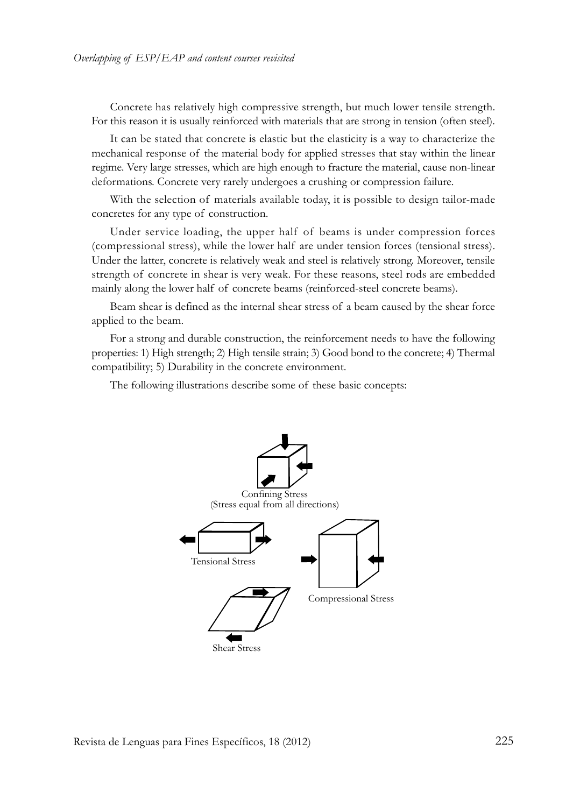Concrete has relatively high compressive strength, but much lower tensile strength. For this reason it is usually reinforced with materials that are strong in tension (often steel).

It can be stated that concrete is elastic but the elasticity is a way to characterize the mechanical response of the material body for applied stresses that stay within the linear regime. Very large stresses, which are high enough to fracture the material, cause non-linear deformations. Concrete very rarely undergoes a crushing or compression failure.

With the selection of materials available today, it is possible to design tailor-made concretes for any type of construction.

Under service loading, the upper half of beams is under compression forces (compressional stress), while the lower half are under tension forces (tensional stress). Under the latter, concrete is relatively weak and steel is relatively strong. Moreover, tensile strength of concrete in shear is very weak. For these reasons, steel rods are embedded mainly along the lower half of concrete beams (reinforced-steel concrete beams).

Beam shear is defined as the internal shear stress of a beam caused by the shear force applied to the beam.

For a strong and durable construction, the reinforcement needs to have the following properties: 1) High strength; 2) High tensile strain; 3) Good bond to the concrete; 4) Thermal compatibility; 5) Durability in the concrete environment.

The following illustrations describe some of these basic concepts:

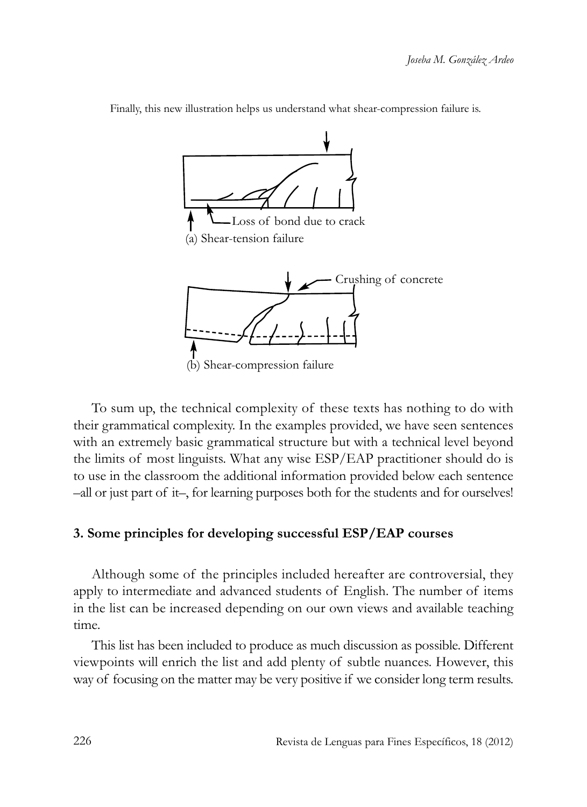

Finally, this new illustration helps us understand what shear-compression failure is.

To sum up, the technical complexity of these texts has nothing to do with their grammatical complexity. in the examples provided, we have seen sentences with an extremely basic grammatical structure but with a technical level beyond the limits of most linguists. What any wise ESP/EAP practitioner should do is to use in the classroom the additional information provided below each sentence –all or just part of it–, for learning purposes both for the students and for ourselves!

#### **3. Some principles for developing successful ESP/EAP courses**

Although some of the principles included hereafter are controversial, they apply to intermediate and advanced students of English. The number of items in the list can be increased depending on our own views and available teaching time.

This list has been included to produce as much discussion as possible. Different viewpoints will enrich the list and add plenty of subtle nuances. However, this way of focusing on the matter may be very positive if we consider long term results.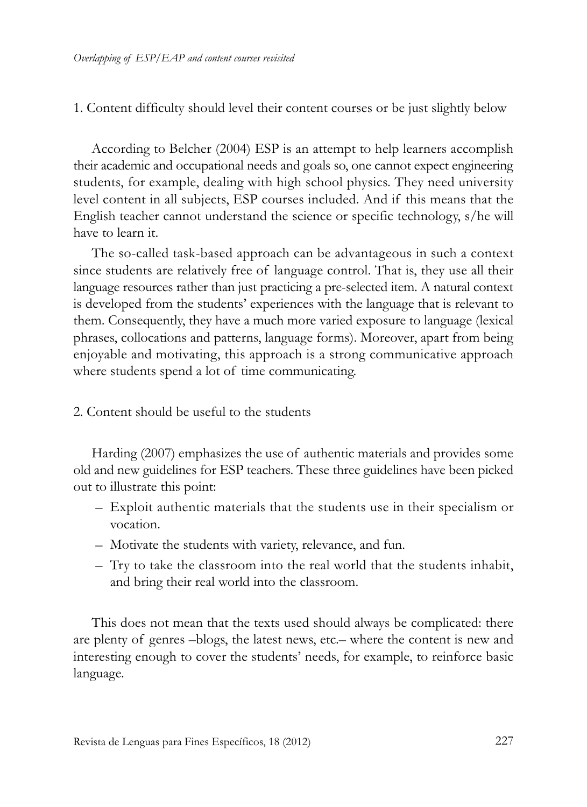## 1. Content difficulty should level their content courses or be just slightly below

According to Belcher (2004) ESP is an attempt to help learners accomplish their academic and occupational needs and goals so, one cannot expect engineering students, for example, dealing with high school physics. They need university level content in all subjects, ESP courses included. And if this means that the English teacher cannot understand the science or specific technology, s/he will have to learn it.

The so-called task-based approach can be advantageous in such a context since students are relatively free of language control. That is, they use all their language resources rather than just practicing a pre-selected item. A natural context is developed from the students' experiences with the language that is relevant to them. Consequently, they have a much more varied exposure to language (lexical phrases, collocations and patterns, language forms). Moreover, apart from being enjoyable and motivating, this approach is a strong communicative approach where students spend a lot of time communicating.

## 2. Content should be useful to the students

Harding (2007) emphasizes the use of authentic materials and provides some old and new guidelines for ESP teachers. These three guidelines have been picked out to illustrate this point:

- Exploit authentic materials that the students use in their specialism or vocation.
- Motivate the students with variety, relevance, and fun.
- Try to take the classroom into the real world that the students inhabit, and bring their real world into the classroom.

This does not mean that the texts used should always be complicated: there are plenty of genres –blogs, the latest news, etc.– where the content is new and interesting enough to cover the students' needs, for example, to reinforce basic language.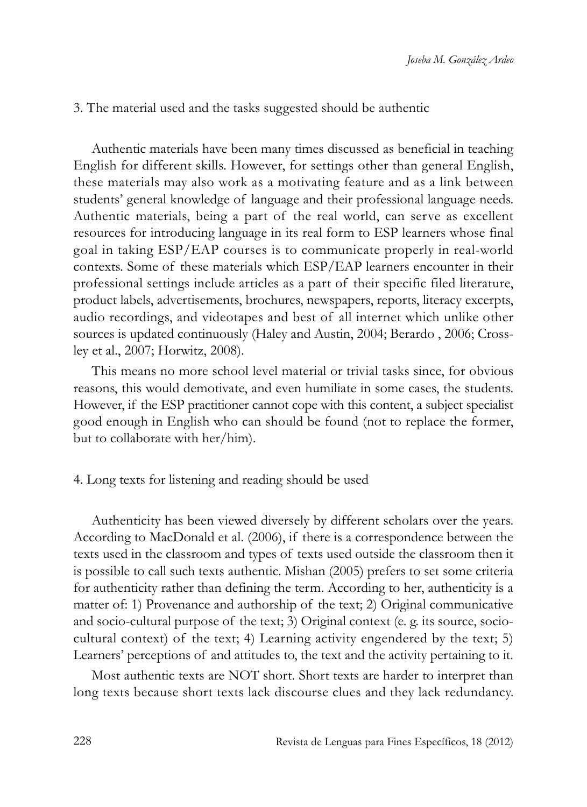## 3. The material used and the tasks suggested should be authentic

Authentic materials have been many times discussed as beneficial in teaching English for different skills. However, for settings other than general English, these materials may also work as a motivating feature and as a link between students' general knowledge of language and their professional language needs. Authentic materials, being a part of the real world, can serve as excellent resources for introducing language in its real form to ESP learners whose final goal in taking ESP/EAP courses is to communicate properly in real-world contexts. Some of these materials which ESP/EAP learners encounter in their professional settings include articles as a part of their specific filed literature, product labels, advertisements, brochures, newspapers, reports, literacy excerpts, audio recordings, and videotapes and best of all internet which unlike other sources is updated continuously (Haley and Austin, 2004; Berardo , 2006; Crossley et al., 2007; Horwitz, 2008).

This means no more school level material or trivial tasks since, for obvious reasons, this would demotivate, and even humiliate in some cases, the students. However, if the ESP practitioner cannot cope with this content, a subject specialist good enough in English who can should be found (not to replace the former, but to collaborate with her/him).

## 4. long texts for listening and reading should be used

Authenticity has been viewed diversely by different scholars over the years. According to MacDonald et al. (2006), if there is a correspondence between the texts used in the classroom and types of texts used outside the classroom then it is possible to call such texts authentic. Mishan (2005) prefers to set some criteria for authenticity rather than defining the term. According to her, authenticity is a matter of: 1) Provenance and authorship of the text; 2) Original communicative and socio-cultural purpose of the text; 3) Original context (e. g. its source, sociocultural context) of the text; 4) learning activity engendered by the text; 5) learners' perceptions of and attitudes to, the text and the activity pertaining to it.

Most authentic texts are NOT short. Short texts are harder to interpret than long texts because short texts lack discourse clues and they lack redundancy.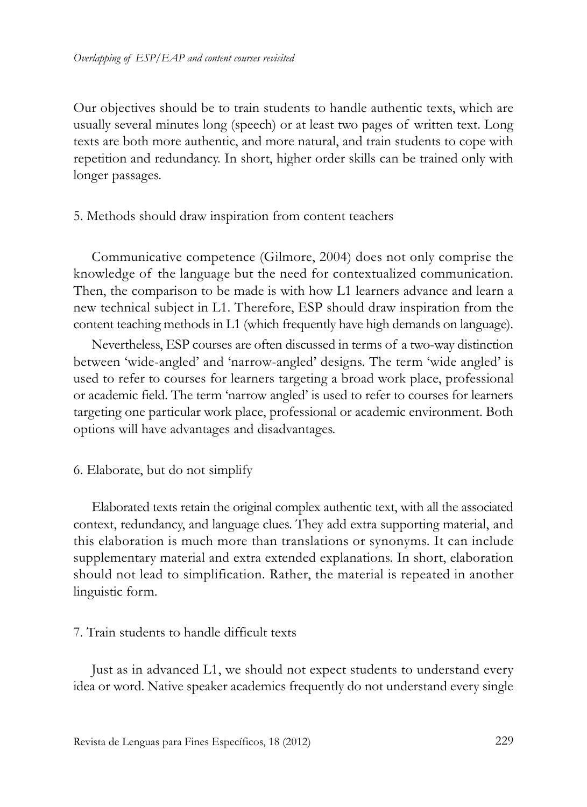Our objectives should be to train students to handle authentic texts, which are usually several minutes long (speech) or at least two pages of written text. long texts are both more authentic, and more natural, and train students to cope with repetition and redundancy. in short, higher order skills can be trained only with longer passages.

5. Methods should draw inspiration from content teachers

Communicative competence (Gilmore, 2004) does not only comprise the knowledge of the language but the need for contextualized communication. Then, the comparison to be made is with how L1 learners advance and learn a new technical subject in l1. Therefore, ESP should draw inspiration from the content teaching methods in L1 (which frequently have high demands on language).

Nevertheless, ESP courses are often discussed in terms of a two-way distinction between 'wide-angled' and 'narrow-angled' designs. The term 'wide angled' is used to refer to courses for learners targeting a broad work place, professional or academic field. The term 'narrow angled' is used to refer to courses for learners targeting one particular work place, professional or academic environment. Both options will have advantages and disadvantages.

6. Elaborate, but do not simplify

Elaborated texts retain the original complex authentic text, with all the associated context, redundancy, and language clues. They add extra supporting material, and this elaboration is much more than translations or synonyms. It can include supplementary material and extra extended explanations. In short, elaboration should not lead to simplification. Rather, the material is repeated in another linguistic form.

## 7. Train students to handle difficult texts

Just as in advanced L1, we should not expect students to understand every idea or word. Native speaker academics frequently do not understand every single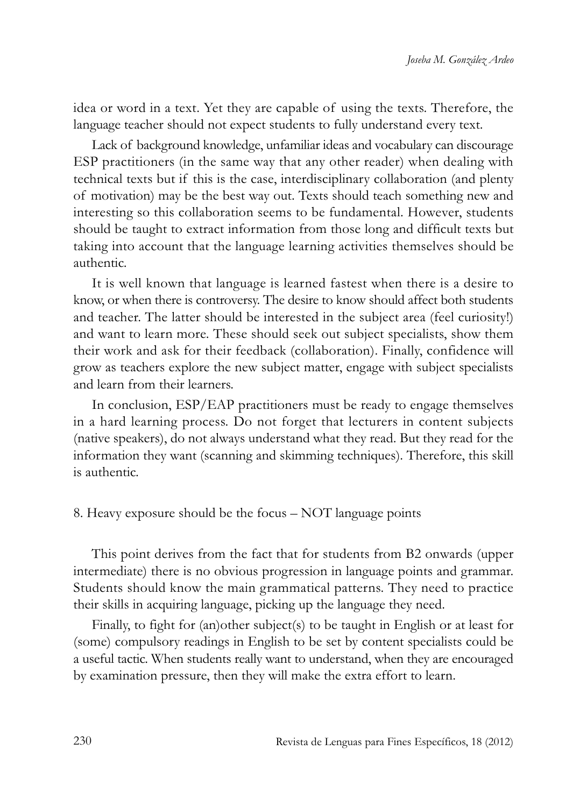idea or word in a text. Yet they are capable of using the texts. Therefore, the language teacher should not expect students to fully understand every text.

lack of background knowledge, unfamiliar ideas and vocabulary can discourage ESP practitioners (in the same way that any other reader) when dealing with technical texts but if this is the case, interdisciplinary collaboration (and plenty of motivation) may be the best way out. Texts should teach something new and interesting so this collaboration seems to be fundamental. However, students should be taught to extract information from those long and difficult texts but taking into account that the language learning activities themselves should be authentic.

It is well known that language is learned fastest when there is a desire to know, or when there is controversy. The desire to know should affect both students and teacher. The latter should be interested in the subject area (feel curiosity!) and want to learn more. These should seek out subject specialists, show them their work and ask for their feedback (collaboration). Finally, confidence will grow as teachers explore the new subject matter, engage with subject specialists and learn from their learners.

In conclusion, ESP/EAP practitioners must be ready to engage themselves in a hard learning process. Do not forget that lecturers in content subjects (native speakers), do not always understand what they read. But they read for the information they want (scanning and skimming techniques). Therefore, this skill is authentic.

#### 8. Heavy exposure should be the focus – NOT language points

This point derives from the fact that for students from B2 onwards (upper intermediate) there is no obvious progression in language points and grammar. Students should know the main grammatical patterns. They need to practice their skills in acquiring language, picking up the language they need.

Finally, to fight for (an)other subject(s) to be taught in English or at least for (some) compulsory readings in English to be set by content specialists could be a useful tactic. When students really want to understand, when they are encouraged by examination pressure, then they will make the extra effort to learn.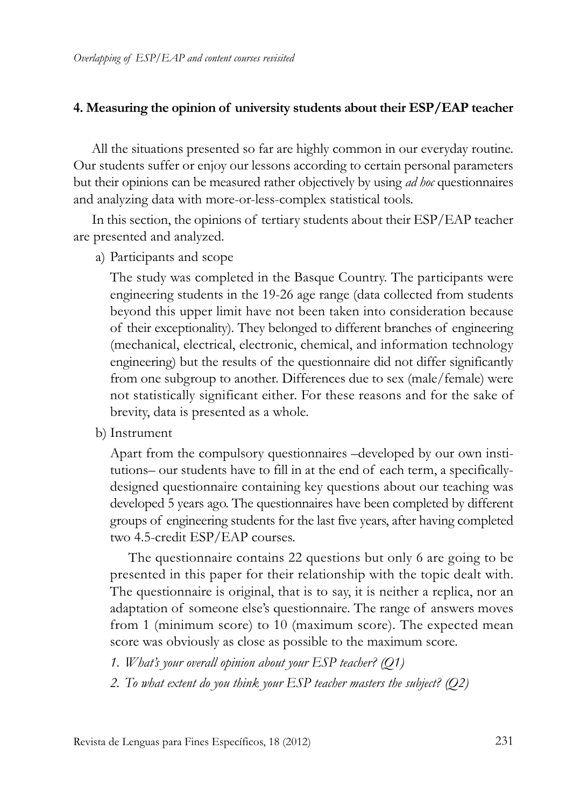#### **4. Measuring the opinion of university students about their ESP/EAP teacher**

All the situations presented so far are highly common in our everyday routine. Our students suffer or enjoy our lessons according to certain personal parameters but their opinions can be measured rather objectively by using *ad hoc* questionnaires and analyzing data with more-or-less-complex statistical tools.

In this section, the opinions of tertiary students about their ESP/EAP teacher are presented and analyzed.

a) Participants and scope

The study was completed in the Basque Country. The participants were engineering students in the 19-26 age range (data collected from students beyond this upper limit have not been taken into consideration because of their exceptionality). They belonged to different branches of engineering (mechanical, electrical, electronic, chemical, and information technology engineering) but the results of the questionnaire did not differ significantly from one subgroup to another. Differences due to sex (male/female) were not statistically significant either. For these reasons and for the sake of brevity, data is presented as a whole.

b) Instrument

Apart from the compulsory questionnaires –developed by our own institutions– our students have to fill in at the end of each term, a specificallydesigned questionnaire containing key questions about our teaching was developed 5 years ago. The questionnaires have been completed by different groups of engineering students for the last five years, after having completed two 4.5-credit ESP/EAP courses.

The questionnaire contains 22 questions but only 6 are going to be presented in this paper for their relationship with the topic dealt with. The questionnaire is original, that is to say, it is neither a replica, nor an adaptation of someone else's questionnaire. The range of answers moves from 1 (minimum score) to 10 (maximum score). The expected mean score was obviously as close as possible to the maximum score.

- *1. What's your overall opinion about your ESP teacher? (Q1)*
- *2. To what extent do you think your ESP teacher masters the subject? (Q2)*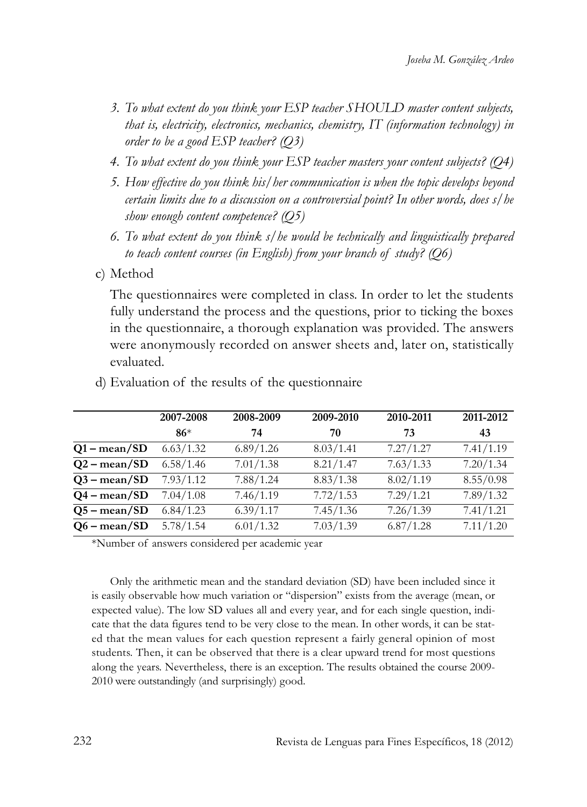- *3. To what extent do you think your ESP teacher SHOULD master content subjects, that is, electricity, electronics, mechanics, chemistry, IT (information technology) in order to be a good ESP teacher? (Q3)*
- *4. To what extent do you think your ESP teacher masters your content subjects? (Q4)*
- *5. How effective do you think his/her communication is when the topic develops beyond certain limits due to a discussion on a controversial point? In other words, does s/he show enough content competence? (Q5)*
- *6. To what extent do you think s/he would be technically and linguistically prepared to teach content courses (in English) from your branch of study? (Q6)*
- c) Method

The questionnaires were completed in class. In order to let the students fully understand the process and the questions, prior to ticking the boxes in the questionnaire, a thorough explanation was provided. The answers were anonymously recorded on answer sheets and, later on, statistically evaluated.

|                       | 2007-2008 | 2008-2009 | 2009-2010 | 2010-2011 | 2011-2012 |
|-----------------------|-----------|-----------|-----------|-----------|-----------|
|                       | $86*$     | 74        | 70        | 73        | 43        |
| $Q1 - \text{mean}/SD$ | 6.63/1.32 | 6.89/1.26 | 8.03/1.41 | 7.27/1.27 | 7.41/1.19 |
| $Q2 - \text{mean}/SD$ | 6.58/1.46 | 7.01/1.38 | 8.21/1.47 | 7.63/1.33 | 7.20/1.34 |
| $Q3 - \text{mean}/SD$ | 7.93/1.12 | 7.88/1.24 | 8.83/1.38 | 8.02/1.19 | 8.55/0.98 |
| $Q4 - \text{mean}/SD$ | 7.04/1.08 | 7.46/1.19 | 7.72/1.53 | 7.29/1.21 | 7.89/1.32 |
| $Q5 - \text{mean}/SD$ | 6.84/1.23 | 6.39/1.17 | 7.45/1.36 | 7.26/1.39 | 7.41/1.21 |
| $Q6 - \text{mean}/SD$ | 5.78/1.54 | 6.01/1.32 | 7.03/1.39 | 6.87/1.28 | 7.11/1.20 |

d) Evaluation of the results of the questionnaire

\*Number of answers considered per academic year

Only the arithmetic mean and the standard deviation (SD) have been included since it is easily observable how much variation or "dispersion" exists from the average (mean, or expected value). The low SD values all and every year, and for each single question, indicate that the data figures tend to be very close to the mean. in other words, it can be stated that the mean values for each question represent a fairly general opinion of most students. Then, it can be observed that there is a clear upward trend for most questions along the years. Nevertheless, there is an exception. The results obtained the course 2009- 2010 were outstandingly (and surprisingly) good.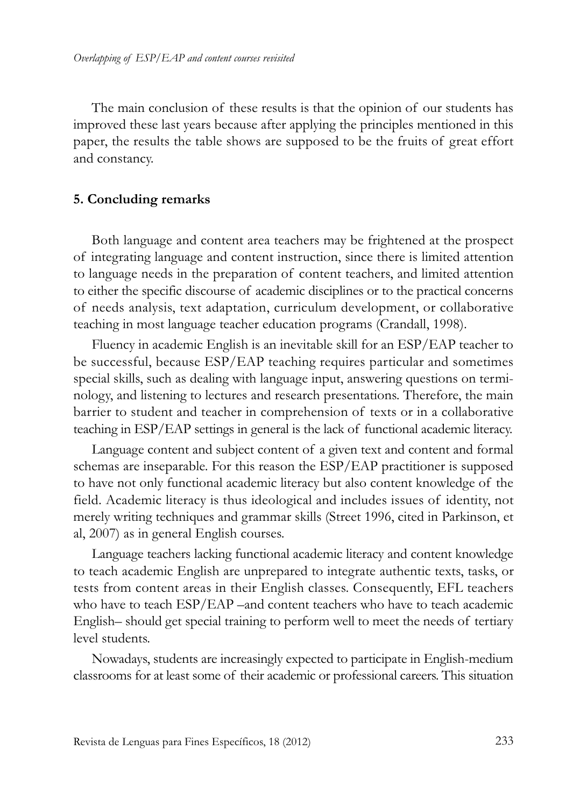The main conclusion of these results is that the opinion of our students has improved these last years because after applying the principles mentioned in this paper, the results the table shows are supposed to be the fruits of great effort and constancy.

#### **5. Concluding remarks**

Both language and content area teachers may be frightened at the prospect of integrating language and content instruction, since there is limited attention to language needs in the preparation of content teachers, and limited attention to either the specific discourse of academic disciplines or to the practical concerns of needs analysis, text adaptation, curriculum development, or collaborative teaching in most language teacher education programs (Crandall, 1998).

Fluency in academic English is an inevitable skill for an ESP/EAP teacher to be successful, because ESP/EAP teaching requires particular and sometimes special skills, such as dealing with language input, answering questions on terminology, and listening to lectures and research presentations. Therefore, the main barrier to student and teacher in comprehension of texts or in a collaborative teaching in ESP/EAP settings in general is the lack of functional academic literacy.

language content and subject content of a given text and content and formal schemas are inseparable. For this reason the ESP/EAP practitioner is supposed to have not only functional academic literacy but also content knowledge of the field. Academic literacy is thus ideological and includes issues of identity, not merely writing techniques and grammar skills (Street 1996, cited in Parkinson, et al, 2007) as in general English courses.

language teachers lacking functional academic literacy and content knowledge to teach academic English are unprepared to integrate authentic texts, tasks, or tests from content areas in their English classes. Consequently, EFl teachers who have to teach ESP/EAP –and content teachers who have to teach academic English– should get special training to perform well to meet the needs of tertiary level students.

Nowadays, students are increasingly expected to participate in English-medium classrooms for at least some of their academic or professional careers. This situation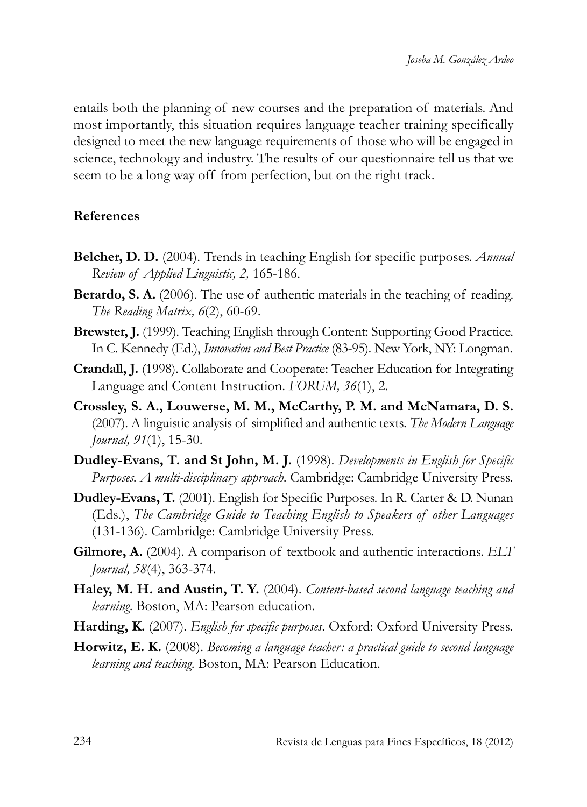entails both the planning of new courses and the preparation of materials. And most importantly, this situation requires language teacher training specifically designed to meet the new language requirements of those who will be engaged in science, technology and industry. The results of our questionnaire tell us that we seem to be a long way off from perfection, but on the right track.

## **References**

- **Belcher, D. D.** (2004). Trends in teaching English for specific purposes. *Annual Review of Applied Linguistic, 2,* 165-186.
- **Berardo, S. A.** (2006). The use of authentic materials in the teaching of reading. *The Reading Matrix, 6*(2), 60-69.
- **Brewster, J.** (1999). Teaching English through Content: Supporting Good Practice. In C. Kennedy (Ed.), *Innovation and Best Practice* (83-95). New York, NY: Longman.
- **Crandall, J.** (1998). Collaborate and Cooperate: Teacher Education for integrating Language and Content Instruction. *FORUM*, 36(1), 2.
- **Crossley, S. A., Louwerse, M. M., McCarthy, P. M. and McNamara, D. S.** (2007). A linguistic analysis of simplified and authentic texts*. The Modern Language Journal, 91*(1), 15-30.
- **Dudley-Evans, T. and St John, M. J.** (1998). *Developments in English for Specific Purposes. A multi-disciplinary approach*. Cambridge: Cambridge University Press.
- **Dudley-Evans, T.** (2001). English for Specific Purposes. In R. Carter & D. Nunan (Eds.), *The Cambridge Guide to Teaching English to Speakers of other Languages* (131-136). Cambridge: Cambridge University Press.
- **Gilmore, A.** (2004). A comparison of textbook and authentic interactions. *ELT Journal, 58*(4), 363-374.
- **Haley, M. H. and Austin, T. Y.** (2004). *Content-based second language teaching and learning*. Boston, MA: Pearson education.
- **Harding, K.** (2007). *English for specific purposes*. Oxford: Oxford University Press.
- **Horwitz, E. K.** (2008). *Becoming a language teacher: a practical guide to second language learning and teaching*. Boston, MA: Pearson Education.